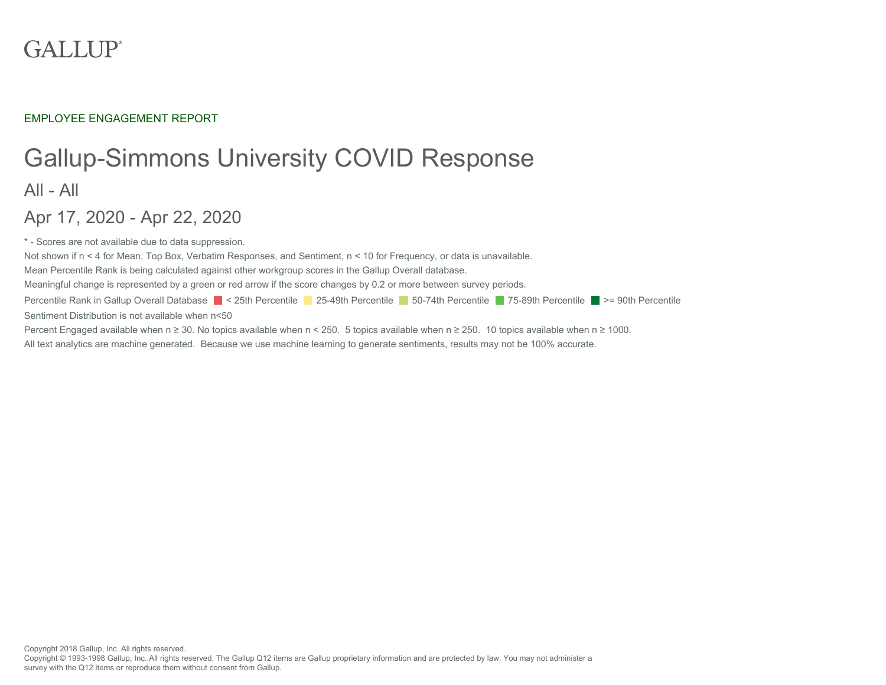# **GALLUP**<sup>®</sup>

EMPLOYEE ENGAGEMENT REPORT

# Gallup-Simmons University COVID Response All - All

Apr 17, 2020 - Apr 22, 2020

\* - Scores are not available due to data suppression.

Not shown if n < 4 for Mean, Top Box, Verbatim Responses, and Sentiment, n < 10 for Frequency, or data is unavailable.

Mean Percentile Rank is being calculated against other workgroup scores in the Gallup Overall database.

Meaningful change is represented by a green or red arrow if the score changes by 0.2 or more between survey periods.

Percentile Rank in Gallup Overall Database < 25th Percentile < 25-49th Percentile 50-74th Percentile 75-89th Percentile >= 90th Percentile

Sentiment Distribution is not available when n<50

Percent Engaged available when n ≥ 30. No topics available when n < 250. 5 topics available when n ≥ 250. 10 topics available when n ≥ 1000.

All text analytics are machine generated. Because we use machine learning to generate sentiments, results may not be 100% accurate.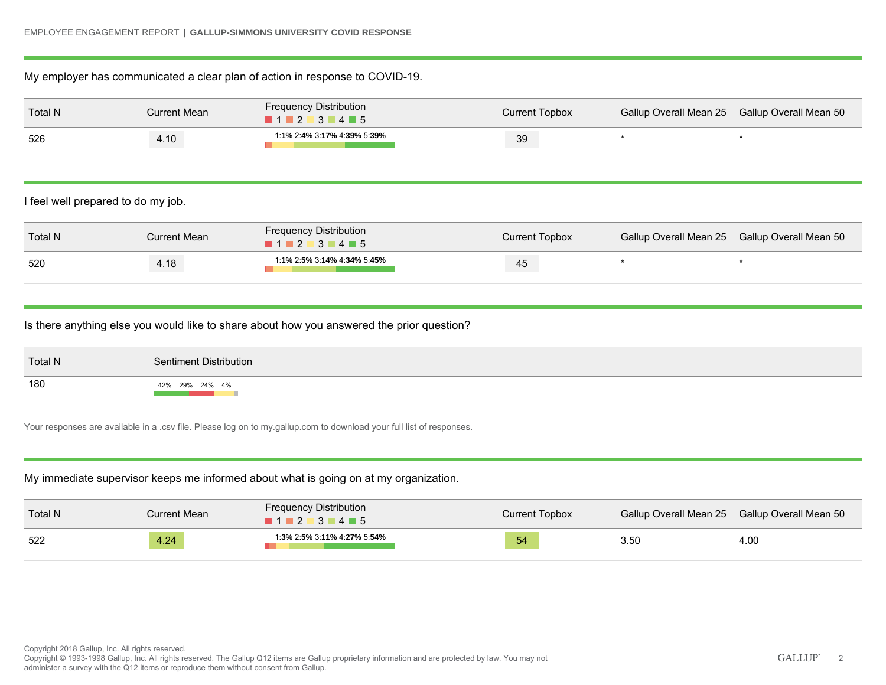## My employer has communicated a clear plan of action in response to COVID-19.

| Total N | Current Mean | <b>Frequency Distribution</b><br>$\blacksquare$ 1 $\blacksquare$ 2 $\blacksquare$ 3 $\blacksquare$ 4 $\blacksquare$ 5 | Current Topbox | Gallup Overall Mean 25 Gallup Overall Mean 50 |  |
|---------|--------------|-----------------------------------------------------------------------------------------------------------------------|----------------|-----------------------------------------------|--|
| 526     | 4.10         | 1:1% 2:4% 3:17% 4:39% 5:39%                                                                                           | 39             |                                               |  |

I feel well prepared to do my job.

| Total N | Current Mean | <b>Frequency Distribution</b><br>$1$ 2 3 4 5 | Current Topbox | Gallup Overall Mean 25 Gallup Overall Mean 50 |
|---------|--------------|----------------------------------------------|----------------|-----------------------------------------------|
| 520     | 4.18         | 1:1% 2:5% 3:14% 4:34% 5:45%                  | 45             |                                               |

Is there anything else you would like to share about how you answered the prior question?

| <b>Total N</b> | Sentiment Distribution |
|----------------|------------------------|
| 180            | 42% 29% 24% 4%         |

Your responses are available in a .csv file. Please log on to my.gallup.com to download your full list of responses.

# My immediate supervisor keeps me informed about what is going on at my organization.

| Total N | <b>Current Mean</b> | <b>Frequency Distribution</b><br>$\blacksquare$ 1 $\blacksquare$ 2 $\blacksquare$ 3 $\blacksquare$ 4 $\blacksquare$ 5 | Current Topbox | Gallup Overall Mean 25 Gallup Overall Mean 50 |      |
|---------|---------------------|-----------------------------------------------------------------------------------------------------------------------|----------------|-----------------------------------------------|------|
| 522     | 4.24                | 1:3% 2:5% 3:11% 4:27% 5:54%                                                                                           | 54             | 3.50                                          | 4.00 |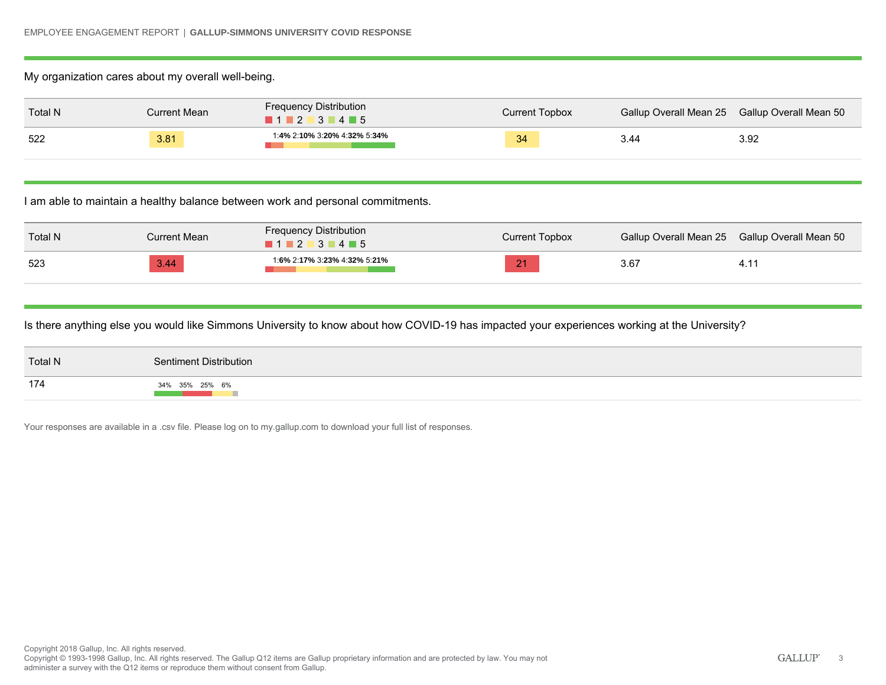## My organization cares about my overall well-being.

| Total N | Current Mean | <b>Frequency Distribution</b><br>$\blacksquare$ 1 $\blacksquare$ 2 $\blacksquare$ 3 $\blacksquare$ 4 $\blacksquare$ 5 | Current Topbox | Gallup Overall Mean 25 Gallup Overall Mean 50 |      |
|---------|--------------|-----------------------------------------------------------------------------------------------------------------------|----------------|-----------------------------------------------|------|
| 522     | 3.81         | 1:4% 2:10% 3:20% 4:32% 5:34%                                                                                          | 34             | 44.ر                                          | 3.92 |

I am able to maintain a healthy balance between work and personal commitments.

| Total N | Current Mean | <b>Frequency Distribution</b><br>$1$ 2 3 4 5 | Current Topbox | Gallup Overall Mean 25 Gallup Overall Mean 50 |      |
|---------|--------------|----------------------------------------------|----------------|-----------------------------------------------|------|
| 523     | 3.44         | 1:6% 2:17% 3:23% 4:32% 5:21%                 | 21             | 3.67                                          | 4. I |

Is there anything else you would like Simmons University to know about how COVID-19 has impacted your experiences working at the University?

| Total N | Sentiment Distribution |
|---------|------------------------|
| 174     | 34% 35% 25% 6%         |

Your responses are available in a .csv file. Please log on to my.gallup.com to download your full list of responses.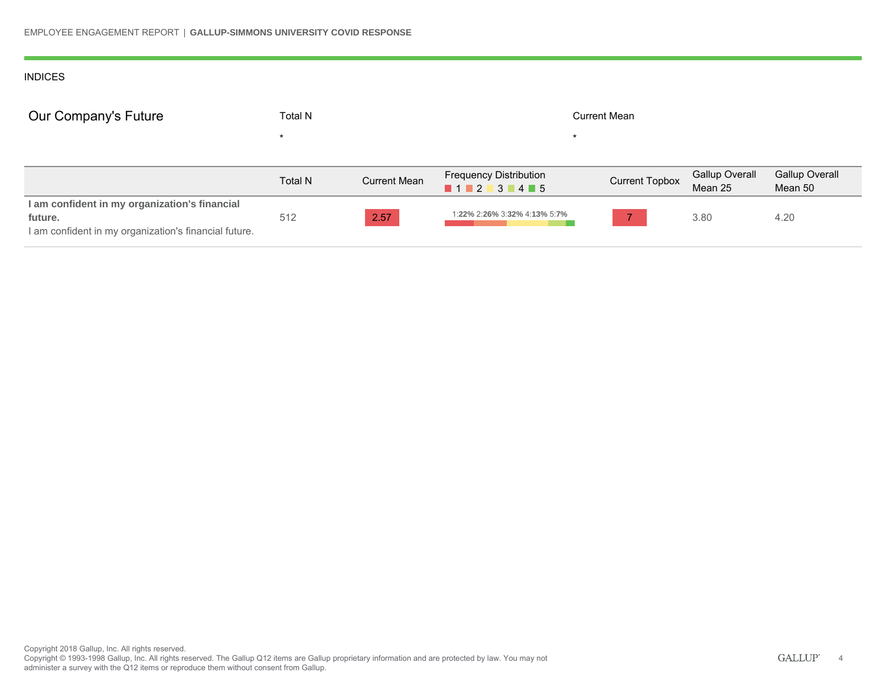#### INDICES

| Our Company's Future                                                                                              | <b>Total N</b> |                     | <b>Current Mean</b>                        |                       |                                  |                                  |
|-------------------------------------------------------------------------------------------------------------------|----------------|---------------------|--------------------------------------------|-----------------------|----------------------------------|----------------------------------|
|                                                                                                                   |                |                     |                                            |                       |                                  |                                  |
|                                                                                                                   | <b>Total N</b> | <b>Current Mean</b> | <b>Frequency Distribution</b><br>1 2 3 4 5 | <b>Current Topbox</b> | <b>Gallup Overall</b><br>Mean 25 | <b>Gallup Overall</b><br>Mean 50 |
| I am confident in my organization's financial<br>future.<br>I am confident in my organization's financial future. | 512            | 2.57                | 1:22% 2:26% 3:32% 4:13% 5:7%               |                       | 3.80                             | 4.20                             |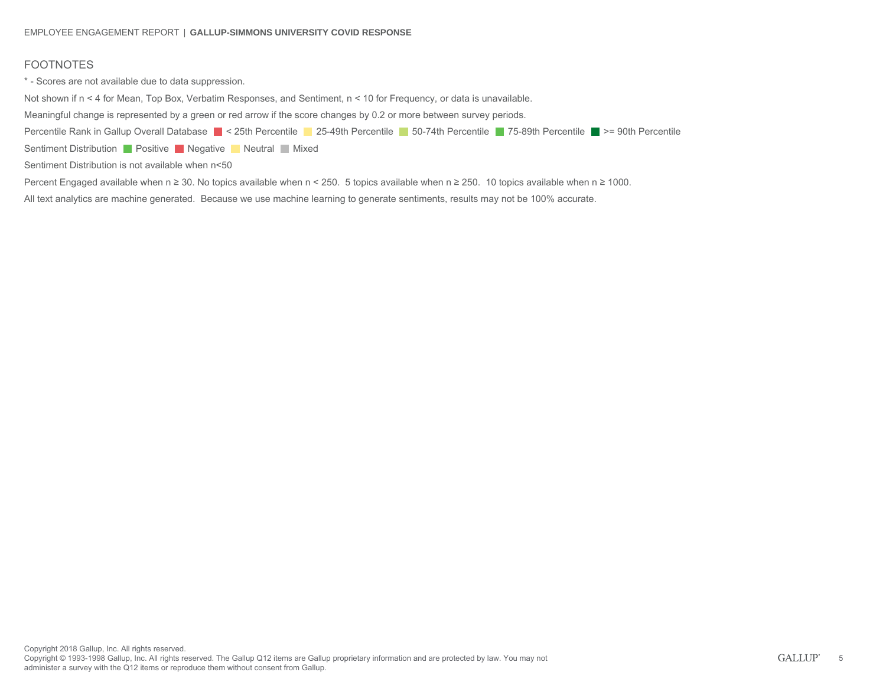# FOOTNOTES

\* - Scores are not available due to data suppression.

Not shown if n < 4 for Mean, Top Box, Verbatim Responses, and Sentiment, n < 10 for Frequency, or data is unavailable.

Meaningful change is represented by a green or red arrow if the score changes by 0.2 or more between survey periods.

Percentile Rank in Gallup Overall Database < 25th Percentile < 25-49th Percentile 50-74th Percentile 75-89th Percentile >= 90th Percentile

Sentiment Distribution **Positive Negative Neutral Mixed** 

Sentiment Distribution is not available when n<50

Percent Engaged available when n ≥ 30. No topics available when n < 250. 5 topics available when n ≥ 250. 10 topics available when n ≥ 1000.

All text analytics are machine generated. Because we use machine learning to generate sentiments, results may not be 100% accurate.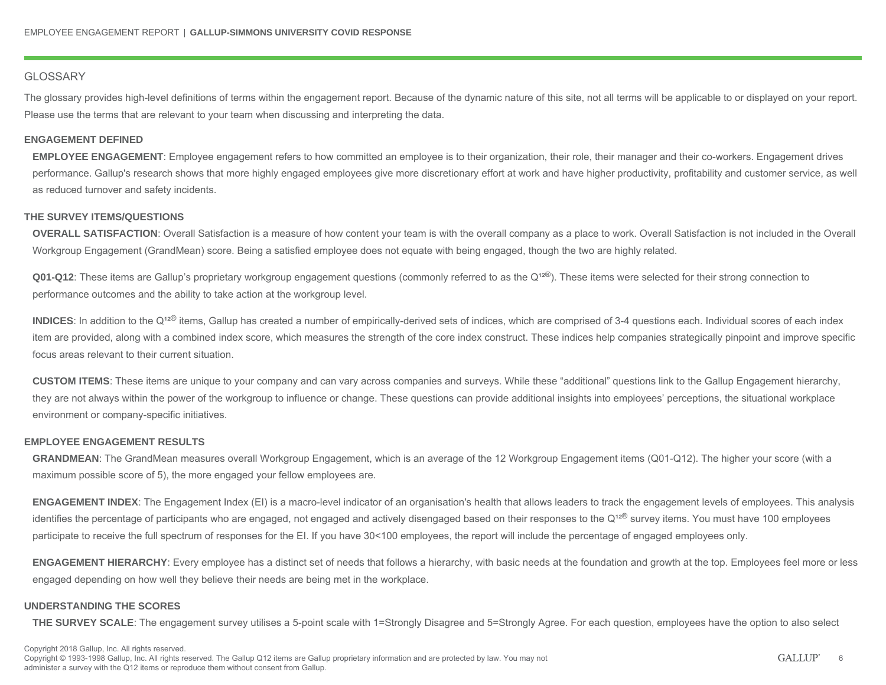#### **GLOSSARY**

The glossary provides high-level definitions of terms within the engagement report. Because of the dynamic nature of this site, not all terms will be applicable to or displayed on your report. Please use the terms that are relevant to your team when discussing and interpreting the data.

#### **ENGAGEMENT DEFINED**

**EMPLOYEE ENGAGEMENT**: Employee engagement refers to how committed an employee is to their organization, their role, their manager and their co-workers. Engagement drives performance. Gallup's research shows that more highly engaged employees give more discretionary effort at work and have higher productivity, profitability and customer service, as well as reduced turnover and safety incidents.

#### **THE SURVEY ITEMS/QUESTIONS**

**OVERALL SATISFACTION**: Overall Satisfaction is a measure of how content your team is with the overall company as a place to work. Overall Satisfaction is not included in the Overall Workgroup Engagement (GrandMean) score. Being a satisfied employee does not equate with being engaged, though the two are highly related.

**Q01-Q12**: These items are Gallup's proprietary workgroup engagement questions (commonly referred to as the Q<sup>12®</sup>). These items were selected for their strong connection to performance outcomes and the ability to take action at the workgroup level.

INDICES: In addition to the Q<sup>12®</sup> items, Gallup has created a number of empirically-derived sets of indices, which are comprised of 3-4 questions each. Individual scores of each index item are provided, along with a combined index score, which measures the strength of the core index construct. These indices help companies strategically pinpoint and improve specific focus areas relevant to their current situation.

**CUSTOM ITEMS**: These items are unique to your company and can vary across companies and surveys. While these "additional" questions link to the Gallup Engagement hierarchy, they are not always within the power of the workgroup to influence or change. These questions can provide additional insights into employees' perceptions, the situational workplace environment or company-specific initiatives.

#### **EMPLOYEE ENGAGEMENT RESULTS**

**GRANDMEAN**: The GrandMean measures overall Workgroup Engagement, which is an average of the 12 Workgroup Engagement items (Q01-Q12). The higher your score (with a maximum possible score of 5), the more engaged your fellow employees are.

**ENGAGEMENT INDEX**: The Engagement Index (EI) is a macro-level indicator of an organisation's health that allows leaders to track the engagement levels of employees. This analysis identifies the percentage of participants who are engaged, not engaged and actively disengaged based on their responses to the Q<sup>12®</sup> survey items. You must have 100 employees participate to receive the full spectrum of responses for the EI. If you have 30<100 employees, the report will include the percentage of engaged employees only.

**ENGAGEMENT HIERARCHY**: Every employee has a distinct set of needs that follows a hierarchy, with basic needs at the foundation and growth at the top. Employees feel more or less engaged depending on how well they believe their needs are being met in the workplace.

#### **UNDERSTANDING THE SCORES**

**THE SURVEY SCALE:** The engagement survey utilises a 5-point scale with 1=Strongly Disagree and 5=Strongly Agree. For each question, employees have the option to also select